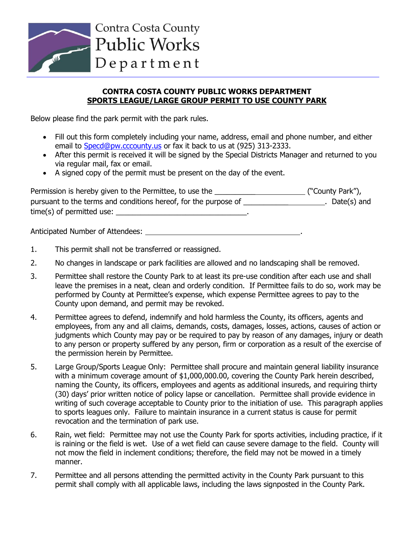

## **CONTRA COSTA COUNTY PUBLIC WORKS DEPARTMENT SPORTS LEAGUE/LARGE GROUP PERMIT TO USE COUNTY PARK**

Below please find the park permit with the park rules.

- Fill out this form completely including your name, address, email and phone number, and either email to [Specd@pw.cccounty.us](mailto:Specd@pw.cccounty.us) or fax it back to us at (925) 313-2333.
- After this permit is received it will be signed by the Special Districts Manager and returned to you via regular mail, fax or email.
- A signed copy of the permit must be present on the day of the event.

| Permission is hereby given to the Permittee, to use the         | ("County Park"), |
|-----------------------------------------------------------------|------------------|
| pursuant to the terms and conditions hereof, for the purpose of | Date(s) and      |
| time(s) of permitted use:                                       |                  |

Anticipated Number of Attendees: .

- 1. This permit shall not be transferred or reassigned.
- 2. No changes in landscape or park facilities are allowed and no landscaping shall be removed.
- 3. Permittee shall restore the County Park to at least its pre-use condition after each use and shall leave the premises in a neat, clean and orderly condition. If Permittee fails to do so, work may be performed by County at Permittee's expense, which expense Permittee agrees to pay to the County upon demand, and permit may be revoked.
- 4. Permittee agrees to defend, indemnify and hold harmless the County, its officers, agents and employees, from any and all claims, demands, costs, damages, losses, actions, causes of action or judgments which County may pay or be required to pay by reason of any damages, injury or death to any person or property suffered by any person, firm or corporation as a result of the exercise of the permission herein by Permittee.
- 5. Large Group/Sports League Only: Permittee shall procure and maintain general liability insurance with a minimum coverage amount of \$1,000,000.00, covering the County Park herein described, naming the County, its officers, employees and agents as additional insureds, and requiring thirty (30) days' prior written notice of policy lapse or cancellation. Permittee shall provide evidence in writing of such coverage acceptable to County prior to the initiation of use. This paragraph applies to sports leagues only. Failure to maintain insurance in a current status is cause for permit revocation and the termination of park use.
- 6. Rain, wet field: Permittee may not use the County Park for sports activities, including practice, if it is raining or the field is wet. Use of a wet field can cause severe damage to the field. County will not mow the field in inclement conditions; therefore, the field may not be mowed in a timely manner.
- 7. Permittee and all persons attending the permitted activity in the County Park pursuant to this permit shall comply with all applicable laws, including the laws signposted in the County Park.